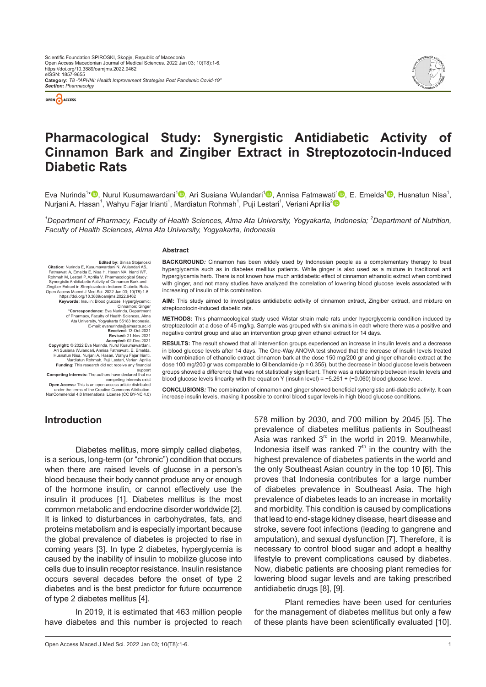



# **Pharmacological Study: Synergistic Antidiabetic Activity of Cinnamon Bark and Zingiber Extract in Streptozotocin-Induced Diabetic Rats**

Eva Nurinda<sup>1</sup>\*<sup>®</sup>[,](https://orcid.org/0000-0002-6380-3869) Nurul Kusumawardani<sup>1®</sup>, Ari Susiana Wulandari<sup>1®</sup>, Annisa Fatmawati<sup>1®</sup>, E. Emelda<sup>1®</sup>, Husnatun Nisa<sup>1</sup>, Nurjani A. Hasan $^1$ , Wahyu Fajar Irianti $^1$ , Mardiatun Rohmah $^1$ , Puji Lestari $^1$ , Veriani Aprilia $^2$  $^2$ 

<sup>1</sup>Department of Pharmacy, Faculty of Health Sciences, Alma Ata University, Yogyakarta, Indonesia; <sup>2</sup>Department of Nutrition, *Faculty of Health Sciences, Alma Ata University, Yogyakarta, Indonesia*

#### **Abstract**

**Edited by:** Sinisa Stojanoski<br>mawardani N. Wulandari AS **Citation:** Nurinda E, Kusumawardani N, Wulandari AS,<br>Fatmawati A, Emelda E, Nisa H, Hasan NA, Irianti WF,<br>Rohmah M, Lestari P, Aprilia V. Pharmacological Study:<br>Synergistic Antidiabetic Activity of Cinnamon Bark and Zingiber Extract in Streptozotocin-Induced Diabetic Rats. Open Access Maced J Med Sci. 2022 Jan 03; 10(T8):1-6.

https://doi.org/10.3889/oamjms.2022.9462<br>**Keywords:** Insulin; Blood glucose; Hyperglycemic;<br>Cinnamon; Ginger<br>**Correspondence:** Eva Nurinda, Department<br>of Pharmacy, Faculty of Health Sciences, Alma<br>Ata University, Yogyakart

E-mail: evanurinda@almaata.ac.id **Received**: 13-Oct-2021 **Revised:** 21-Nov-2021

**Accepted:** 02-Dec-2021<br>**Copyright:** © 2022 Eva Nurinda, Nurul Kusumawardani,<br>Ari Susiana Wulandari, Annisa Fatmawati, E. Emelda,<br>Husnatun Nisa, Nurjani A. Hasan, Wahyu Fajar Irianti,

Mardiatun Rohmah, Puji Lestari, Veriani Aprilia **Funding:** This research did not receive any financial support

**Competing Interests:** The authors have declared that no

competing interests exist<br>Open Access: This is an open-access article distribution-<br>under the terms of the Creative Commons Attribution-<br>NonCommercial 4.0 International License (CC BY-NC 4.0)

**BACKGROUND***:* Cinnamon has been widely used by Indonesian people as a complementary therapy to treat hyperglycemia such as in diabetes mellitus patients. While ginger is also used as a mixture in traditional anti hyperglycemia herb. There is not known how much antidiabetic effect of cinnamon ethanolic extract when combined with ginger, and not many studies have analyzed the correlation of lowering blood glucose levels associated with increasing of insulin of this combination.

**AIM:** This study aimed to investigates antidiabetic activity of cinnamon extract, Zingiber extract, and mixture on streptozotocin-induced diabetic rats.

**METHODS:** This pharmacological study used Wistar strain male rats under hyperglycemia condition induced by streptozotocin at a dose of 45 mg/kg. Sample was grouped with six animals in each where there was a positive and negative control group and also an intervention group given ethanol extract for 14 days.

**RESULTS:** The result showed that all intervention groups experienced an increase in insulin levels and a decrease in blood glucose levels after 14 days. The One-Way ANOVA test showed that the increase of insulin levels treated with combination of ethanolic extract cinnamon bark at the dose 150 mg/200 gr and ginger ethanolic extract at the dose 100 mg/200 gr was comparable to Glibenclamide (p = 0.355), but the decrease in blood glucose levels between groups showed a difference that was not statistically significant. There was a relationship between insulin levels and blood glucose levels linearity with the equation Y (insulin level) = −5.261 + (−0.060) blood glucose level.

**CONCLUSIONS***:* The combination of cinnamon and ginger showed beneficial synergistic anti-diabetic activity. It can increase insulin levels, making it possible to control blood sugar levels in high blood glucose conditions.

### **Introduction**

Diabetes mellitus, more simply called diabetes, is a serious, long-term (or "chronic") condition that occurs when there are raised levels of glucose in a person's blood because their body cannot produce any or enough of the hormone insulin, or cannot effectively use the insulin it produces [1]. Diabetes mellitus is the most common metabolic and endocrine disorder worldwide [2]. It is linked to disturbances in carbohydrates, fats, and proteins metabolism and is especially important because the global prevalence of diabetes is projected to rise in coming years [3]. In type 2 diabetes, hyperglycemia is caused by the inability of insulin to mobilize glucose into cells due to insulin receptor resistance. Insulin resistance occurs several decades before the onset of type 2 diabetes and is the best predictor for future occurrence of type 2 diabetes mellitus [4].

In 2019, it is estimated that 463 million people have diabetes and this number is projected to reach

578 million by 2030, and 700 million by 2045 [5]. The prevalence of diabetes mellitus patients in Southeast Asia was ranked  $3<sup>rd</sup>$  in the world in 2019. Meanwhile, Indonesia itself was ranked  $7<sup>th</sup>$  in the country with the highest prevalence of diabetes patients in the world and the only Southeast Asian country in the top 10 [6]. This proves that Indonesia contributes for a large number of diabetes prevalence in Southeast Asia. The high prevalence of diabetes leads to an increase in mortality and morbidity. This condition is caused by complications that lead to end-stage kidney disease, heart disease and stroke, severe foot infections (leading to gangrene and amputation), and sexual dysfunction [7]. Therefore, it is necessary to control blood sugar and adopt a healthy lifestyle to prevent complications caused by diabetes. Now, diabetic patients are choosing plant remedies for lowering blood sugar levels and are taking prescribed antidiabetic drugs [8], [9].

Plant remedies have been used for centuries for the management of diabetes mellitus but only a few of these plants have been scientifically evaluated [10].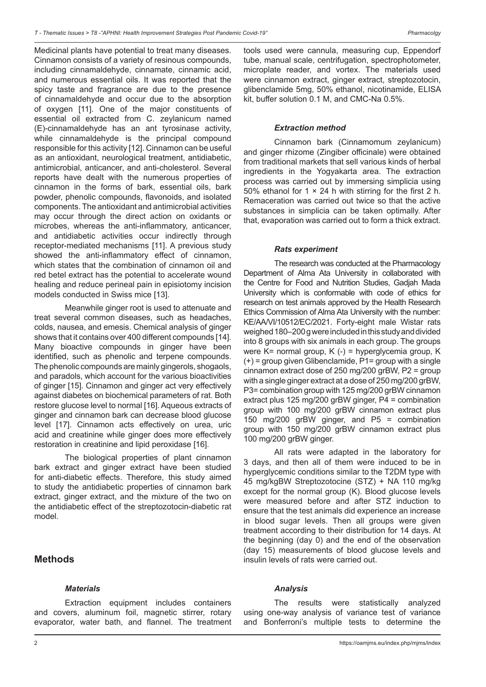Medicinal plants have potential to treat many diseases. Cinnamon consists of a variety of resinous compounds, including cinnamaldehyde, cinnamate, cinnamic acid, and numerous essential oils. It was reported that the spicy taste and fragrance are due to the presence of cinnamaldehyde and occur due to the absorption of oxygen [11]. One of the major constituents of essential oil extracted from C. zeylanicum named (E)-cinnamaldehyde has an ant tyrosinase activity, while cinnamaldehyde is the principal compound responsible for this activity [12]. Cinnamon can be useful as an antioxidant, neurological treatment, antidiabetic, antimicrobial, anticancer, and anti-cholesterol. Several reports have dealt with the numerous properties of cinnamon in the forms of bark, essential oils, bark powder, phenolic compounds, flavonoids, and isolated components. The antioxidant and antimicrobial activities may occur through the direct action on oxidants or microbes, whereas the anti-inflammatory, anticancer, and antidiabetic activities occur indirectly through receptor-mediated mechanisms [11]. A previous study showed the anti-inflammatory effect of cinnamon, which states that the combination of cinnamon oil and red betel extract has the potential to accelerate wound healing and reduce perineal pain in episiotomy incision models conducted in Swiss mice [13].

Meanwhile ginger root is used to attenuate and treat several common diseases, such as headaches, colds, nausea, and emesis. Chemical analysis of ginger shows that it contains over 400 different compounds [14]. Many bioactive compounds in ginger have been identified, such as phenolic and terpene compounds. The phenolic compounds are mainly gingerols, shogaols, and paradols, which account for the various bioactivities of ginger [15]. Cinnamon and ginger act very effectively against diabetes on biochemical parameters of rat. Both restore glucose level to normal [16]. Aqueous extracts of ginger and cinnamon bark can decrease blood glucose level [17]. Cinnamon acts effectively on urea, uric acid and creatinine while ginger does more effectively restoration in creatinine and lipid peroxidase [16].

The biological properties of plant cinnamon bark extract and ginger extract have been studied for anti-diabetic effects. Therefore, this study aimed to study the antidiabetic properties of cinnamon bark extract, ginger extract, and the mixture of the two on the antidiabetic effect of the streptozotocin-diabetic rat model.

## **Methods**

## *Materials*

Extraction equipment includes containers and covers, aluminum foil, magnetic stirrer, rotary evaporator, water bath, and flannel. The treatment tools used were cannula, measuring cup, Eppendorf tube, manual scale, centrifugation, spectrophotometer, microplate reader, and vortex. The materials used were cinnamon extract, ginger extract, streptozotocin, glibenclamide 5mg, 50% ethanol, nicotinamide, ELISA kit, buffer solution 0.1 M, and CMC-Na 0.5%.

### *Extraction method*

Cinnamon bark (Cinnamomum zeylanicum) and ginger rhizome (Zingiber officinale) were obtained from traditional markets that sell various kinds of herbal ingredients in the Yogyakarta area. The extraction process was carried out by immersing simplicia using 50% ethanol for 1  $\times$  24 h with stirring for the first 2 h. Remaceration was carried out twice so that the active substances in simplicia can be taken optimally. After that, evaporation was carried out to form a thick extract.

#### *Rats experiment*

The research was conducted at the Pharmacology Department of Alma Ata University in collaborated with the Centre for Food and Nutrition Studies, Gadjah Mada University which is conformable with code of ethics for research on test animals approved by the Health Research Ethics Commission of Alma Ata University with the number: KE/AA/VI/10512/EC/2021. Forty-eight male Wistar rats weighed 180–200g were included in this study and divided into 8 groups with six animals in each group. The groups were K= normal group, K (-) = hyperglycemia group, K  $(+)$  = group given Glibenclamide, P1= group with a single cinnamon extract dose of 250 mg/200 grBW, P2 = group with a single ginger extract at a dose of 250 mg/200 grBW, P3= combination group with 125 mg/200 grBW cinnamon extract plus 125 mg/200 grBW ginger, P4 = combination group with 100 mg/200 grBW cinnamon extract plus 150 mg/200 grBW ginger, and P5 = combination group with 150 mg/200 grBW cinnamon extract plus 100 mg/200 grBW ginger.

All rats were adapted in the laboratory for 3 days, and then all of them were induced to be in hyperglycemic conditions similar to the T2DM type with 45 mg/kgBW Streptozotocine (STZ) + NA 110 mg/kg except for the normal group (K). Blood glucose levels were measured before and after STZ induction to ensure that the test animals did experience an increase in blood sugar levels. Then all groups were given treatment according to their distribution for 14 days. At the beginning (day 0) and the end of the observation (day 15) measurements of blood glucose levels and insulin levels of rats were carried out.

#### *Analysis*

The results were statistically analyzed using one-way analysis of variance test of variance and Bonferroni's multiple tests to determine the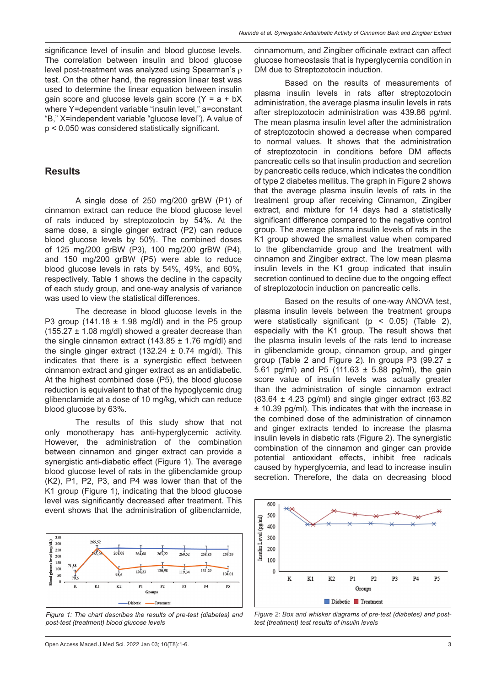significance level of insulin and blood glucose levels. The correlation between insulin and blood glucose level post-treatment was analyzed using Spearman's ρ test. On the other hand, the regression linear test was used to determine the linear equation between insulin gain score and glucose levels gain score  $(Y = a + bX)$ where Y=dependent variable "insulin level," a=constant "B," X=independent variable "glucose level"). A value of p < 0.050 was considered statistically significant.

### **Results**

A single dose of 250 mg/200 grBW (P1) of cinnamon extract can reduce the blood glucose level of rats induced by streptozotocin by 54%. At the same dose, a single ginger extract (P2) can reduce blood glucose levels by 50%. The combined doses of 125 mg/200 grBW (P3), 100 mg/200 grBW (P4), and 150 mg/200 grBW (P5) were able to reduce blood glucose levels in rats by 54%, 49%, and 60%, respectively. Table 1 shows the decline in the capacity of each study group, and one-way analysis of variance was used to view the statistical differences.

The decrease in blood glucose levels in the P3 group (141.18  $\pm$  1.98 mg/dl) and in the P5 group  $(155.27 \pm 1.08 \text{ mg/dl})$  showed a greater decrease than the single cinnamon extract (143.85  $\pm$  1.76 mg/dl) and the single ginger extract (132.24  $\pm$  0.74 mg/dl). This indicates that there is a synergistic effect between cinnamon extract and ginger extract as an antidiabetic. At the highest combined dose (P5), the blood glucose reduction is equivalent to that of the hypoglycemic drug glibenclamide at a dose of 10 mg/kg, which can reduce blood glucose by 63%.

The results of this study show that not only monotherapy has anti-hyperglycemic activity. However, the administration of the combination between cinnamon and ginger extract can provide a synergistic anti-diabetic effect (Figure 1). The average blood glucose level of rats in the glibenclamide group (K2), P1, P2, P3, and P4 was lower than that of the K1 group (Figure 1), indicating that the blood glucose level was significantly decreased after treatment. This event shows that the administration of glibenclamide,



*Figure 1: The chart describes the results of pre-test (diabetes) and post-test (treatment) blood glucose levels*

cinnamomum, and Zingiber officinale extract can affect glucose homeostasis that is hyperglycemia condition in DM due to Streptozotocin induction.

Based on the results of measurements of plasma insulin levels in rats after streptozotocin administration, the average plasma insulin levels in rats after streptozotocin administration was 439.86 pg/ml. The mean plasma insulin level after the administration of streptozotocin showed a decrease when compared to normal values. It shows that the administration of streptozotocin in conditions before DM affects pancreatic cells so that insulin production and secretion by pancreatic cells reduce, which indicates the condition of type 2 diabetes mellitus. The graph in Figure 2 shows that the average plasma insulin levels of rats in the treatment group after receiving Cinnamon, Zingiber extract, and mixture for 14 days had a statistically significant difference compared to the negative control group. The average plasma insulin levels of rats in the K1 group showed the smallest value when compared to the glibenclamide group and the treatment with cinnamon and Zingiber extract. The low mean plasma insulin levels in the K1 group indicated that insulin secretion continued to decline due to the ongoing effect of streptozotocin induction on pancreatic cells.

Based on the results of one-way ANOVA test, plasma insulin levels between the treatment groups were statistically significant ( $p < 0.05$ ) (Table 2), especially with the K1 group. The result shows that the plasma insulin levels of the rats tend to increase in glibenclamide group, cinnamon group, and ginger group (Table 2 and Figure 2). In groups P3 (99.27 ± 5.61 pg/ml) and P5 (111.63  $\pm$  5.88 pg/ml), the gain score value of insulin levels was actually greater than the administration of single cinnamon extract  $(83.64 \pm 4.23 \text{ pg/ml})$  and single ginger extract  $(63.82$ ± 10.39 pg/ml). This indicates that with the increase in the combined dose of the administration of cinnamon and ginger extracts tended to increase the plasma insulin levels in diabetic rats (Figure 2). The synergistic combination of the cinnamon and ginger can provide potential antioxidant effects, inhibit free radicals caused by hyperglycemia, and lead to increase insulin secretion. Therefore, the data on decreasing blood



*Figure 2: Box and whisker diagrams of pre-test (diabetes) and posttest (treatment) test results of insulin levels*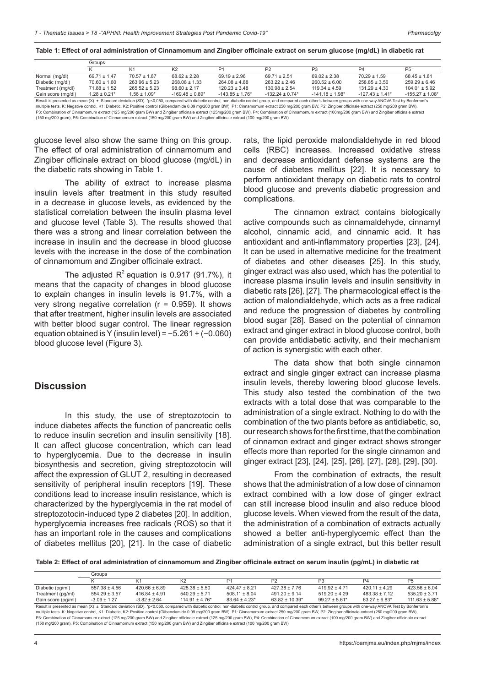|                                                                                                                                                                                                                   | Groups            |                   |                                 |                      |                                 |                                 |                                 |                      |
|-------------------------------------------------------------------------------------------------------------------------------------------------------------------------------------------------------------------|-------------------|-------------------|---------------------------------|----------------------|---------------------------------|---------------------------------|---------------------------------|----------------------|
|                                                                                                                                                                                                                   |                   |                   | K <sub>2</sub>                  | P1                   | P2                              | P <sub>3</sub>                  | P <sub>4</sub>                  | P <sub>5</sub>       |
| Normal (mg/dl)                                                                                                                                                                                                    | $69.71 \pm 1.47$  | $70.57 \pm 1.87$  | $68.62 \pm 2.28$                | $69.19 \pm 2.96$     | $69.71 \pm 2.51$                | $69.02 \pm 2.38$                | $70.29 \pm 1.59$                | $68.45 \pm 1.81$     |
| Diabetic (mg/dl)                                                                                                                                                                                                  | $70.60 \pm 1.60$  | $263.96 \pm 5.23$ | $268.08 \pm 1.33$               | $264.08 \pm 4.88$    | $263.22 \pm 2.46$               | $260.52 \pm 6.00$               | $258.85 \pm 3.56$               | $259.29 \pm 6.46$    |
| Treatment (mg/dl)                                                                                                                                                                                                 | $71.88 \pm 1.52$  | $265.52 \pm 5.23$ | $98.60 \pm 2.17$                | $120.23 \pm 3.48$    | $130.98 \pm 2.54$               | $119.34 \pm 4.59$               | $131.29 \pm 4.30$               | $104.01 \pm 5.92$    |
| Gain score (mg/dl)                                                                                                                                                                                                | $1.28 \pm 0.21$ * | $1.56 \pm 1.09*$  | $-169.48 \pm 0.89$ <sup>*</sup> | $-143.85 \pm 1.76$ * | $-132.24 \pm 0.74$ <sup>*</sup> | $-141.18 \pm 1.98$ <sup>*</sup> | $-127.43 \pm 1.41$ <sup>*</sup> | $-155.27 \pm 1.08$ * |
| Result is presented as mean (X) ± Standard deviation (SD). *p<0,050, compared with diabetic control, non-diabetic control group, and compared each other's between groups with one-way ANOVA Test by Bonferroni's |                   |                   |                                 |                      |                                 |                                 |                                 |                      |

Result is presented as mean (X) ± Standard deviation (SD). \*p<0,050, compared with diabetic control, non-diabetic control group, and compared each other's between groups with one-way ANOVA Test by Bonferroni's<br>multiple tes P3: Combination of Cinnamomum extract (125 mg/200 gram BW) and Zingiber officinale extract (125mg/200 gram BW), P4: Combination of Cinnamomum extract (100mg/200 gram BW) and Zingiber officinale extract (150 mg/200 gram), P5: Combination of Cinnamomum extract (150 mg/200 gram BW) and Zingiber officinale extract (100 mg/200 gram BW)

glucose level also show the same thing on this group. The effect of oral administration of cinnamomum and Zingiber officinale extract on blood glucose (mg/dL) in the diabetic rats showing in Table 1.

The ability of extract to increase plasma insulin levels after treatment in this study resulted in a decrease in glucose levels, as evidenced by the statistical correlation between the insulin plasma level and glucose level (Table 3). The results showed that there was a strong and linear correlation between the increase in insulin and the decrease in blood glucose levels with the increase in the dose of the combination of cinnamomum and Zingiber officinale extract.

The adjusted  $R^2$  equation is 0.917 (91.7%), it means that the capacity of changes in blood glucose to explain changes in insulin levels is 91.7%, with a very strong negative correlation ( $r = 0.959$ ). It shows that after treatment, higher insulin levels are associated with better blood sugar control. The linear regression equation obtained is Y (insulin level) = −5.261 + (−0.060) blood glucose level (Figure 3).

#### **Discussion**

In this study, the use of streptozotocin to induce diabetes affects the function of pancreatic cells to reduce insulin secretion and insulin sensitivity [18]. It can affect glucose concentration, which can lead to hyperglycemia. Due to the decrease in insulin biosynthesis and secretion, giving streptozotocin will affect the expression of GLUT 2, resulting in decreased sensitivity of peripheral insulin receptors [19]. These conditions lead to increase insulin resistance, which is characterized by the hyperglycemia in the rat model of streptozotocin-induced type 2 diabetes [20]. In addition, hyperglycemia increases free radicals (ROS) so that it has an important role in the causes and complications of diabetes mellitus [20], [21]. In the case of diabetic

rats, the lipid peroxide malondialdehyde in red blood cells (RBC) increases. Increased oxidative stress and decrease antioxidant defense systems are the cause of diabetes mellitus [22]. It is necessary to perform antioxidant therapy on diabetic rats to control blood glucose and prevents diabetic progression and complications.

The cinnamon extract contains biologically active compounds such as cinnamaldehyde, cinnamyl alcohol, cinnamic acid, and cinnamic acid. It has antioxidant and anti-inflammatory properties [23], [24]. It can be used in alternative medicine for the treatment of diabetes and other diseases [25]. In this study, ginger extract was also used, which has the potential to increase plasma insulin levels and insulin sensitivity in diabetic rats [26], [27]. The pharmacological effect is the action of malondialdehyde, which acts as a free radical and reduce the progression of diabetes by controlling blood sugar [28]. Based on the potential of cinnamon extract and ginger extract in blood glucose control, both can provide antidiabetic activity, and their mechanism of action is synergistic with each other.

The data show that both single cinnamon extract and single ginger extract can increase plasma insulin levels, thereby lowering blood glucose levels. This study also tested the combination of the two extracts with a total dose that was comparable to the administration of a single extract. Nothing to do with the combination of the two plants before as antidiabetic, so, our research shows for the first time, that the combination of cinnamon extract and ginger extract shows stronger effects more than reported for the single cinnamon and ginger extract [23], [24], [25], [26], [27], [28], [29], [30].

From the combination of extracts, the result shows that the administration of a low dose of cinnamon extract combined with a low dose of ginger extract can still increase blood insulin and also reduce blood glucose levels. When viewed from the result of the data, the administration of a combination of extracts actually showed a better anti-hyperglycemic effect than the administration of a single extract, but this better result

Table 2: Effect of oral administration of cinnamomum and Zingiber officinale extract on serum insulin (pg/mL) in diabetic rat

|                    | Groups            |                   |                     |                   |                     |                   |                   |                     |
|--------------------|-------------------|-------------------|---------------------|-------------------|---------------------|-------------------|-------------------|---------------------|
|                    |                   |                   |                     |                   | P <sub>2</sub>      |                   | PΔ                | <b>P5</b>           |
| Diabetic (pg/ml)   | $557.38 \pm 4.56$ | $420.66 \pm 6.89$ | $425.38 \pm 5.50$   | $424.47 \pm 8.21$ | $427.38 \pm 7.76$   | $419.92 \pm 4.71$ | $420.11 \pm 4.29$ | $423.56 \pm 6.04$   |
| Treatment (pg/ml)  | $554.29 \pm 3.57$ | $416.84 \pm 4.91$ | $540.29 \pm 5.71$   | $508.11 \pm 8.04$ | $491.20 \pm 9.14$   | $519.20 \pm 4.29$ | $483.38 \pm 7.12$ | $535.20 \pm 3.71$   |
| Gain score (pg/ml) | $-3.09 \pm 1.27$  | $-3.82 \pm 2.64$  | $114.91 \pm 4.76$ * | $83.64 \pm 4.23*$ | $63.82 \pm 10.39^*$ | $99.27 \pm 5.61*$ | $63.27 \pm 6.83*$ | $111.63 \pm 5.88$ * |

Result is presented as mean (X) ± Standard deviation (SD). \*p<0.050, compared with diabetic control, non-diabetic control group, and compared each other's between groups with one-way ANOVA Test by Bonferroni's multiple tests. K: Negative control, K1: Diabetic, K2: Positive control (Glibenclamide 0.09 mg/200 gram BW), P1: Cinnamomum extract 250 mg/200 gram BW, P2: Zingiber officinale extract (250 mg/200 gram BW), P3: Combination of Cinnamomum extract (125 mg/200 gram BW) and Zingiber officinale extract (125 mg/200 gram BW), P4: Combination of Cinnamomum extract (100 mg/200 gram BW) and Zingiber officinale extrac (150 mg/200 gram), P5: Combination of Cinnamomum extract (150 mg/200 gram BW) and Zingiber officinale extract (100 mg/200 gram BW)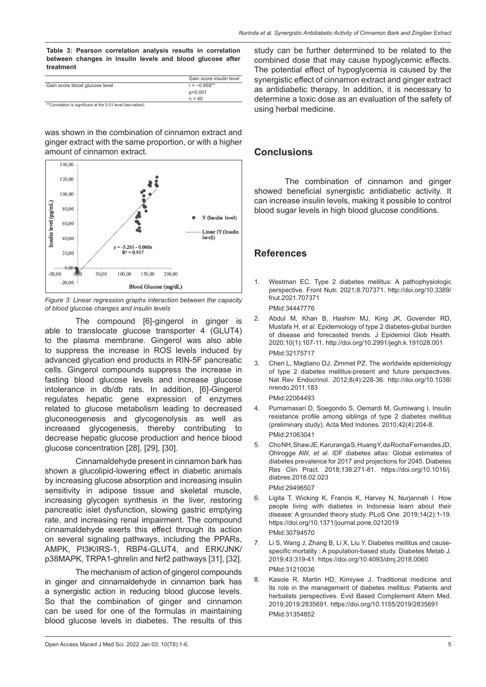**Table 3: Pearson correlation analysis results in correlation between changes in insulin levels and blood glucose after treatment**

|                                                              | Gain score insulin level |
|--------------------------------------------------------------|--------------------------|
| Gain score blood glucose level                               | $r = -0.959**$           |
|                                                              | p<0,001                  |
|                                                              | $n = 40$                 |
| **Correlation is significant at the 0.01 level (two-tailed). |                          |

was shown in the combination of cinnamon extract and ginger extract with the same proportion, or with a higher amount of cinnamon extract.



*Figure 3: Linear regression graphs interaction between the capacity of blood glucose changes and insulin levels*

The compound [6]-gingerol in ginger is able to translocate glucose transporter 4 (GLUT4) to the plasma membrane. Gingerol was also able to suppress the increase in ROS levels induced by advanced glycation end products in RIN-5F pancreatic cells. Gingerol compounds suppress the increase in fasting blood glucose levels and increase glucose intolerance in db/db rats. In addition, [6]-Gingerol regulates hepatic gene expression of enzymes related to glucose metabolism leading to decreased gluconeogenesis and glycogenolysis as well as increased glycogenesis, thereby contributing to decrease hepatic glucose production and hence blood glucose concentration [28], [29], [30].

Cinnamaldehyde present in cinnamon bark has shown a glucolipid-lowering effect in diabetic animals by increasing glucose absorption and increasing insulin sensitivity in adipose tissue and skeletal muscle, increasing glycogen synthesis in the liver, restoring pancreatic islet dysfunction, slowing gastric emptying rate, and increasing renal impairment. The compound cinnamaldehyde exerts this effect through its action on several signaling pathways, including the PPARs, AMPK, PI3K/IRS-1, RBP4-GLUT4, and ERK/JNK/ p38MAPK, TRPA1-ghrelin and Nrf2 pathways [31], [32].

The mechanism of action of gingerol compounds in ginger and cinnamaldehyde in cinnamon bark has a synergistic action in reducing blood glucose levels. So that the combination of ginger and cinnamon can be used for one of the formulas in maintaining blood glucose levels in diabetes. The results of this study can be further determined to be related to the combined dose that may cause hypoglycemic effects. The potential effect of hypoglycemia is caused by the synergistic effect of cinnamon extract and ginger extract as antidiabetic therapy. In addition, it is necessary to determine a toxic dose as an evaluation of the safety of using herbal medicine.

## **Conclusions**

The combination of cinnamon and ginger showed beneficial synergistic antidiabetic activity. It can increase insulin levels, making it possible to control blood sugar levels in high blood glucose conditions.

## **References**

- Westman EC. Type 2 diabetes mellitus: A pathophysiologic perspective. Front Nutr. 2021;8:707371. http://doi.org/10.3389/ fnut.2021.707371 PMid:34447776
- 2. Abdul M, Khan B, Hashim MJ, King JK, Govender RD, Mustafa H, *et al*. Epidemiology of type 2 diabetes-global burden of disease and forecasted trends. J Epidemiol Glob Health. 2020;10(1):107-11. http://doi.org/10.2991/jegh.k.191028.001 PMid:32175717
- 3. Chen L, Magliano DJ, Zimmet PZ. The worldwide epidemiology of type 2 diabetes mellitus-present and future perspectives. Nat Rev Endocrinol. 2012;8(4):228-36. http://doi.org/10.1038/ nrendo.2011.183
	- PMid:22064493
- 4. Purnamasari D, Soegondo S, Oemardi M, Gumiwang I. Insulin resistance profile among siblings of type 2 diabetes mellitus (preliminary study). Acta Med Indones. 2010;42(4):204-8. PMid:21063041
- 5. Cho NH, Shaw JE, Karuranga S, Huang Y, da Rocha Fernandes JD, Ohlrogge AW, *et al*. IDF diabetes atlas: Global estimates of diabetes prevalence for 2017 and projections for 2045. Diabetes Res Clin Pract. 2018;138:271-81. https://doi.org/10.1016/j. diabres.2018.02.023 PMid:29496507
- 6. Ligita T, Wicking K, Francis K, Harvey N, Nurjannah I. How people living with diabetes in Indonesia learn about their disease: A grounded theory study. PLoS One. 2019;14(2):1-19. https://doi.org/10.1371/journal.pone.0212019 PMid:30794570
- 7. Li S, Wang J, Zhang B, Li X, Liu Y. Diabetes mellitus and causespecific mortality : A population-based study. Diabetes Metab J. 2019;43:319-41. https://doi.org/10.4093/dmj.2018.0060 PMid:31210036
- 8. Kasole R, Martin HD, Kimiywe J. Traditional medicine and its role in the management of diabetes mellitus: Patients and herbalists perspectives. Evid Based Complement Altern Med. 2019;2019:2835691. https://doi.org/10.1155/2019/2835691 PMid:31354852